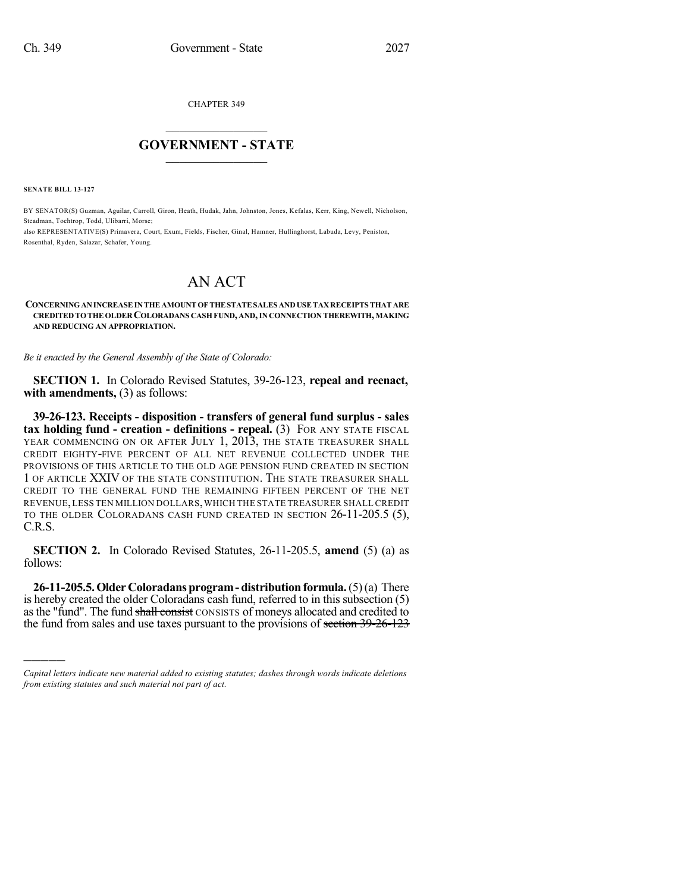CHAPTER 349

## $\overline{\phantom{a}}$  . The set of the set of the set of the set of the set of the set of the set of the set of the set of the set of the set of the set of the set of the set of the set of the set of the set of the set of the set o **GOVERNMENT - STATE**  $\_$

**SENATE BILL 13-127**

)))))

BY SENATOR(S) Guzman, Aguilar, Carroll, Giron, Heath, Hudak, Jahn, Johnston, Jones, Kefalas, Kerr, King, Newell, Nicholson, Steadman, Tochtrop, Todd, Ulibarri, Morse; also REPRESENTATIVE(S) Primavera, Court, Exum, Fields, Fischer, Ginal, Hamner, Hullinghorst, Labuda, Levy, Peniston, Rosenthal, Ryden, Salazar, Schafer, Young.

## AN ACT

## **CONCERNINGANINCREASEINTHE AMOUNT OF THE STATESALES ANDUSETAXRECEIPTS THAT ARE CREDITED TOTHE OLDER COLORADANS CASH FUND, AND,IN CONNECTION THEREWITH, MAKING AND REDUCING AN APPROPRIATION.**

*Be it enacted by the General Assembly of the State of Colorado:*

**SECTION 1.** In Colorado Revised Statutes, 39-26-123, **repeal and reenact, with amendments,** (3) as follows:

**39-26-123. Receipts - disposition - transfers of general fund surplus - sales tax holding fund - creation - definitions - repeal.** (3) FOR ANY STATE FISCAL YEAR COMMENCING ON OR AFTER JULY 1, 2013, THE STATE TREASURER SHALL CREDIT EIGHTY-FIVE PERCENT OF ALL NET REVENUE COLLECTED UNDER THE PROVISIONS OF THIS ARTICLE TO THE OLD AGE PENSION FUND CREATED IN SECTION 1 OF ARTICLE XXIV OF THE STATE CONSTITUTION. THE STATE TREASURER SHALL CREDIT TO THE GENERAL FUND THE REMAINING FIFTEEN PERCENT OF THE NET REVENUE,LESS TEN MILLION DOLLARS,WHICH THE STATE TREASURER SHALL CREDIT TO THE OLDER COLORADANS CASH FUND CREATED IN SECTION 26-11-205.5 (5), C.R.S.

**SECTION 2.** In Colorado Revised Statutes, 26-11-205.5, **amend** (5) (a) as follows:

**26-11-205.5.OlderColoradansprogram- distribution formula.**(5)(a) There is hereby created the older Coloradans cash fund, referred to in this subsection (5) as the "fund". The fund shall consist CONSISTS of moneys allocated and credited to the fund from sales and use taxes pursuant to the provisions of section 39-26-123

*Capital letters indicate new material added to existing statutes; dashes through words indicate deletions from existing statutes and such material not part of act.*